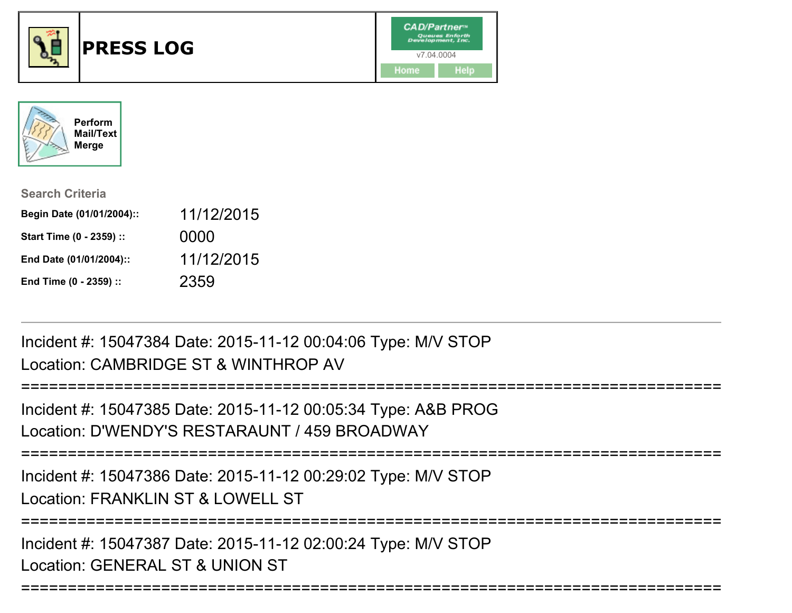



| <b>Search Criteria</b>    |            |
|---------------------------|------------|
| Begin Date (01/01/2004):: | 11/12/2015 |
| Start Time (0 - 2359) ::  | 0000       |
| End Date (01/01/2004)::   | 11/12/2015 |
| End Time (0 - 2359) ::    | 2359       |

Incident #: 15047384 Date: 2015-11-12 00:04:06 Type: M/V STOPLocation: CAMBRIDGE ST & WINTHROP AV

Incident #: 15047385 Date: 2015-11-12 00:05:34 Type: A&B PROGLocation: D'WENDY'S RESTARAUNT / 459 BROADWAY

===========================================================================

===========================================================================

Incident #: 15047386 Date: 2015-11-12 00:29:02 Type: M/V STOP

Location: FRANKLIN ST & LOWELL ST

===========================================================================

===========================================================================

Incident #: 15047387 Date: 2015-11-12 02:00:24 Type: M/V STOPLocation: GENERAL ST & UNION ST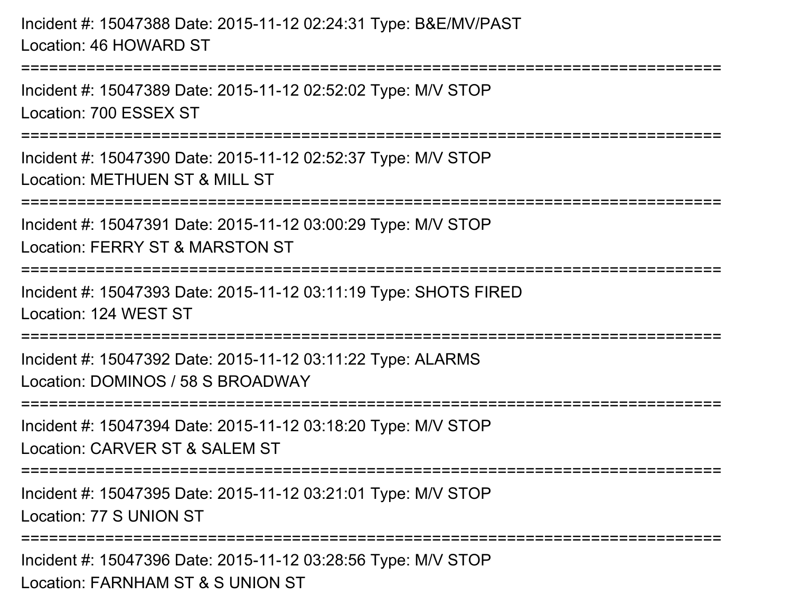Incident #: 15047388 Date: 2015-11-12 02:24:31 Type: B&E/MV/PASTLocation: 46 HOWARD ST

===========================================================================

Incident #: 15047389 Date: 2015-11-12 02:52:02 Type: M/V STOPLocation: 700 ESSEX ST

===========================================================================

Incident #: 15047390 Date: 2015-11-12 02:52:37 Type: M/V STOPLocation: METHUEN ST & MILL ST

===========================================================================

Incident #: 15047391 Date: 2015-11-12 03:00:29 Type: M/V STOP

Location: FERRY ST & MARSTON ST

===========================================================================

Incident #: 15047393 Date: 2015-11-12 03:11:19 Type: SHOTS FIREDLocation: 124 WEST ST

=============================

Incident #: 15047392 Date: 2015-11-12 03:11:22 Type: ALARMSLocation: DOMINOS / 58 S BROADWAY

===========================================================================

Incident #: 15047394 Date: 2015-11-12 03:18:20 Type: M/V STOP

Location: CARVER ST & SALEM ST

===========================================================================

Incident #: 15047395 Date: 2015-11-12 03:21:01 Type: M/V STOPLocation: 77 S UNION ST

===========================================================================

Incident #: 15047396 Date: 2015-11-12 03:28:56 Type: M/V STOPLocation: FARNHAM ST & S UNION ST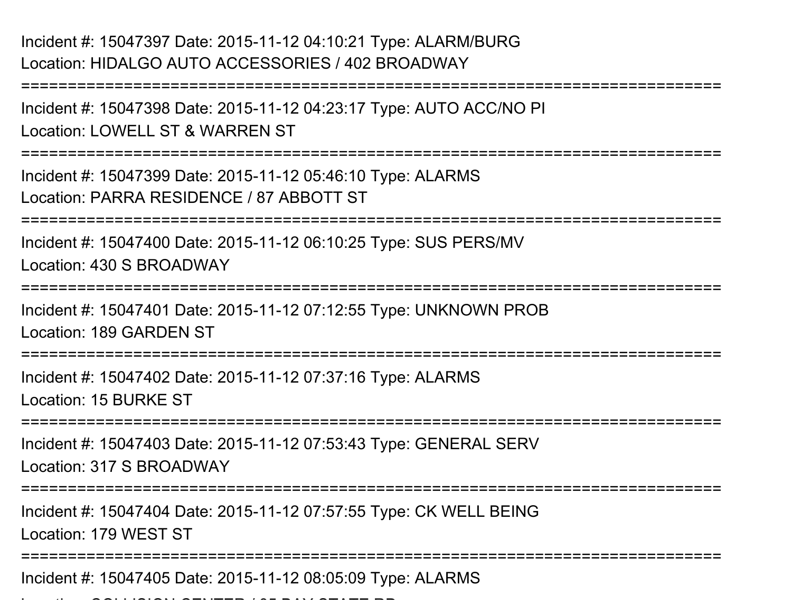Location: COLLISION CENTER / 85 BAY STATE RD

===========================================================================Incident #: 15047398 Date: 2015-11-12 04:23:17 Type: AUTO ACC/NO PILocation: LOWELL ST & WARREN ST===========================================================================Incident #: 15047399 Date: 2015-11-12 05:46:10 Type: ALARMSLocation: PARRA RESIDENCE / 87 ABBOTT ST===========================================================================Incident #: 15047400 Date: 2015-11-12 06:10:25 Type: SUS PERS/MVLocation: 430 S BROADWAY===========================================================================Incident #: 15047401 Date: 2015-11-12 07:12:55 Type: UNKNOWN PROBLocation: 189 GARDEN ST===========================================================================Incident #: 15047402 Date: 2015-11-12 07:37:16 Type: ALARMSLocation: 15 BURKE ST===========================================================================Incident #: 15047403 Date: 2015-11-12 07:53:43 Type: GENERAL SERVLocation: 317 S BROADWAY===========================================================================Incident #: 15047404 Date: 2015-11-12 07:57:55 Type: CK WELL BEINGLocation: 179 WEST ST===========================================================================Incident #: 15047405 Date: 2015-11-12 08:05:09 Type: ALARMS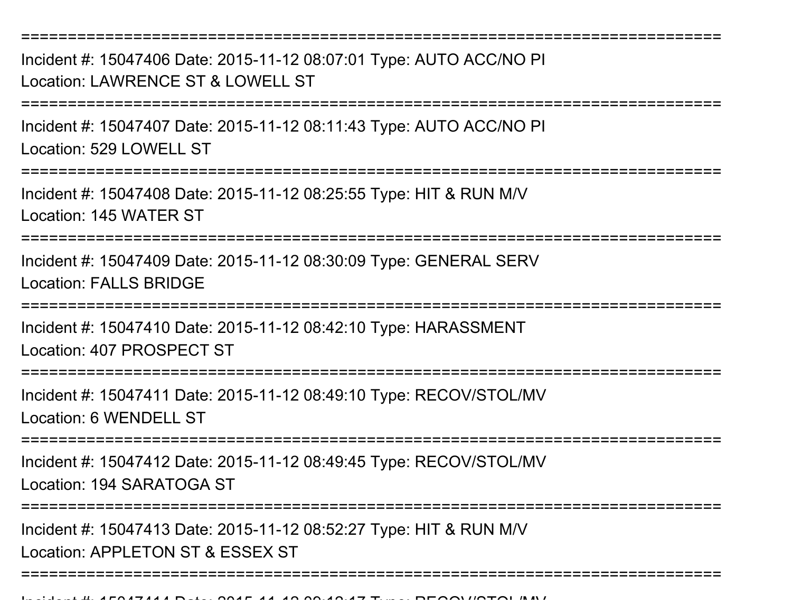Incident #: 15047406 Date: 2015-11-12 08:07:01 Type: AUTO ACC/NO PILocation: LAWRENCE ST & LOWELL ST

===========================================================================

===========================================================================

Incident #: 15047407 Date: 2015-11-12 08:11:43 Type: AUTO ACC/NO PILocation: 529 LOWELL ST

===========================================================================

Incident #: 15047408 Date: 2015-11-12 08:25:55 Type: HIT & RUN M/VLocation: 145 WATER ST

======================

Incident #: 15047409 Date: 2015-11-12 08:30:09 Type: GENERAL SERVLocation: FALLS BRIDGE

===========================================================================

Incident #: 15047410 Date: 2015-11-12 08:42:10 Type: HARASSMENTLocation: 407 PROSPECT ST

===========================================================================

Incident #: 15047411 Date: 2015-11-12 08:49:10 Type: RECOV/STOL/MVLocation: 6 WENDELL ST

===========================================================================

Incident #: 15047412 Date: 2015-11-12 08:49:45 Type: RECOV/STOL/MVLocation: 194 SARATOGA ST

===========================================================================

Incident #: 15047413 Date: 2015-11-12 08:52:27 Type: HIT & RUN M/V

Location: APPLETON ST & ESSEX ST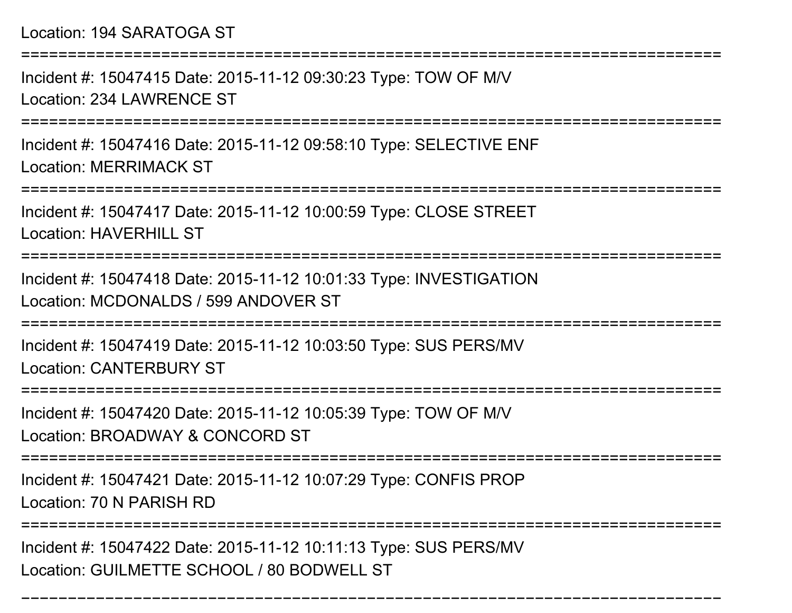Location: 194 SARATOGA ST

===========================================================================

Incident #: 15047415 Date: 2015-11-12 09:30:23 Type: TOW OF M/VLocation: 234 LAWRENCE ST

===========================================================================

Incident #: 15047416 Date: 2015-11-12 09:58:10 Type: SELECTIVE ENFLocation: MERRIMACK ST

===========================================================================

Incident #: 15047417 Date: 2015-11-12 10:00:59 Type: CLOSE STREETLocation: HAVERHILL ST

===========================================================================

Incident #: 15047418 Date: 2015-11-12 10:01:33 Type: INVESTIGATIONLocation: MCDONALDS / 599 ANDOVER ST

===========================================================================

Incident #: 15047419 Date: 2015-11-12 10:03:50 Type: SUS PERS/MVLocation: CANTERBURY ST

===========================================================================

Incident #: 15047420 Date: 2015-11-12 10:05:39 Type: TOW OF M/V

Location: BROADWAY & CONCORD ST

===========================================================================

Incident #: 15047421 Date: 2015-11-12 10:07:29 Type: CONFIS PROP

Location: 70 N PARISH RD

====================

===========================================================================

Incident #: 15047422 Date: 2015-11-12 10:11:13 Type: SUS PERS/MVLocation: GUILMETTE SCHOOL / 80 BODWELL ST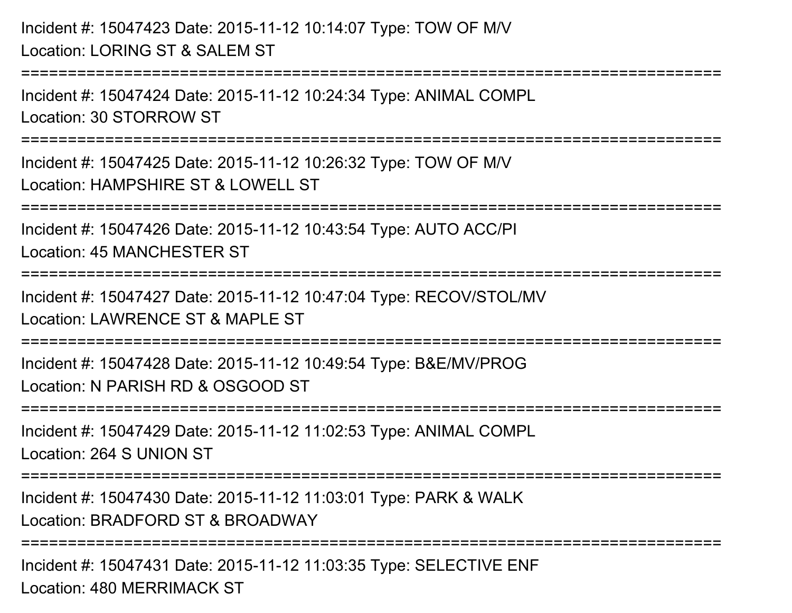Incident #: 15047423 Date: 2015-11-12 10:14:07 Type: TOW OF M/VLocation: LORING ST & SALEM ST

Incident #: 15047424 Date: 2015-11-12 10:24:34 Type: ANIMAL COMPLLocation: 30 STORROW ST

===========================================================================

===========================================================================

Incident #: 15047425 Date: 2015-11-12 10:26:32 Type: TOW OF M/VLocation: HAMPSHIRF ST & LOWELL ST

===========================================================================

Incident #: 15047426 Date: 2015-11-12 10:43:54 Type: AUTO ACC/PILocation: 45 MANCHESTER ST

===========================================================================

Incident #: 15047427 Date: 2015-11-12 10:47:04 Type: RECOV/STOL/MVLocation: LAWRENCE ST & MAPLE ST

===========================================================================

Incident #: 15047428 Date: 2015-11-12 10:49:54 Type: B&E/MV/PROGLocation: N PARISH RD & OSGOOD ST

===========================================================================

Incident #: 15047429 Date: 2015-11-12 11:02:53 Type: ANIMAL COMPLLocation: 264 S UNION ST

===========================================================================

Incident #: 15047430 Date: 2015-11-12 11:03:01 Type: PARK & WALKLocation: BRADFORD ST & BROADWAY

===========================================================================

Incident #: 15047431 Date: 2015-11-12 11:03:35 Type: SELECTIVE ENFLocation: 480 MERRIMACK ST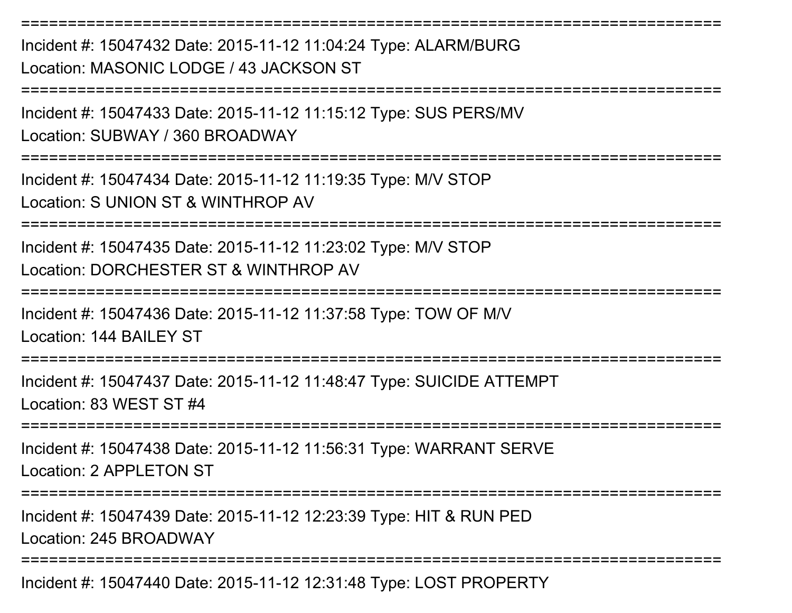Incident #: 15047432 Date: 2015-11-12 11:04:24 Type: ALARM/BURGLocation: MASONIC LODGE / 43 JACKSON ST

===========================================================================

===========================================================================

Incident #: 15047433 Date: 2015-11-12 11:15:12 Type: SUS PERS/MVLocation: SUBWAY / 360 BROADWAY

===========================================================================

Incident #: 15047434 Date: 2015-11-12 11:19:35 Type: M/V STOP

Location: S UNION ST & WINTHROP AV

===========================================================================

Incident #: 15047435 Date: 2015-11-12 11:23:02 Type: M/V STOPLocation: DORCHESTER ST & WINTHROP AV

===========================================================================

Incident #: 15047436 Date: 2015-11-12 11:37:58 Type: TOW OF M/V

Location: 144 BAILEY ST

===========================================================================

Incident #: 15047437 Date: 2015-11-12 11:48:47 Type: SUICIDE ATTEMPTLocation: 83 WEST ST #4

===========================================================================

Incident #: 15047438 Date: 2015-11-12 11:56:31 Type: WARRANT SERVELocation: 2 APPL FTON ST

===========================================================================

Incident #: 15047439 Date: 2015-11-12 12:23:39 Type: HIT & RUN PED

Location: 245 BROADWAY

===========================================================================

Incident #: 15047440 Date: 2015-11-12 12:31:48 Type: LOST PROPERTY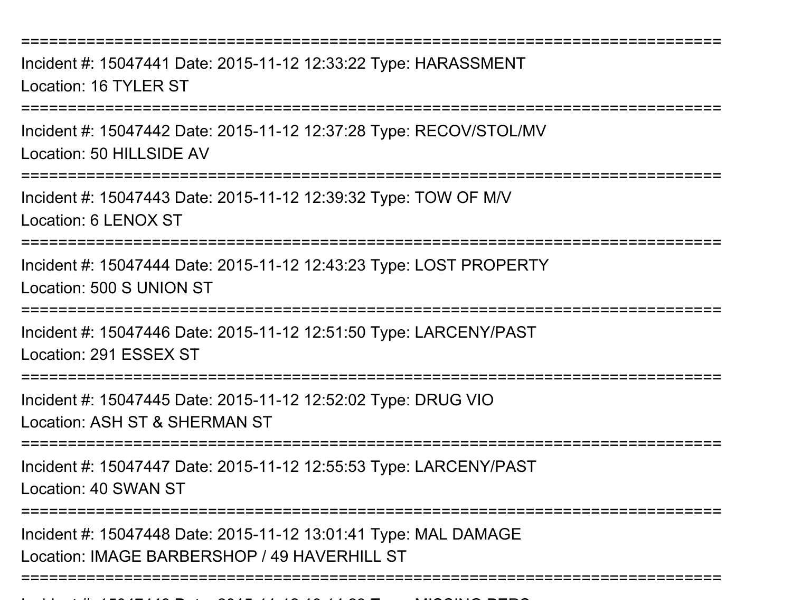===========================================================================

Incident #: 15047441 Date: 2015-11-12 12:33:22 Type: HARASSMENTLocation: 16 TYLER ST

===========================================================================

Incident #: 15047442 Date: 2015-11-12 12:37:28 Type: RECOV/STOL/MVLocation: 50 HILLSIDE AV

===========================================================================

Incident #: 15047443 Date: 2015-11-12 12:39:32 Type: TOW OF M/VLocation: 6 LENOX ST

===========================================================================

Incident #: 15047444 Date: 2015-11-12 12:43:23 Type: LOST PROPERTYLocation: 500 S UNION ST

===========================================================================

Incident #: 15047446 Date: 2015-11-12 12:51:50 Type: LARCENY/PASTLocation: 291 ESSEX ST

===========================================================================

Incident #: 15047445 Date: 2015-11-12 12:52:02 Type: DRUG VIOLocation: ASH ST & SHERMAN ST

===========================================================================

Incident #: 15047447 Date: 2015-11-12 12:55:53 Type: LARCENY/PAST

Location: 40 SWAN ST

Incident #: 15047449 Date: 2015

=============================

Incident #: 15047448 Date: 2015-11-12 13:01:41 Type: MAL DAMAGELocation: IMAGE BARBERSHOP / 49 HAVERHILL ST

===========================================================================

- *11 12 12 12* 23 Type: MARING PERS<br>-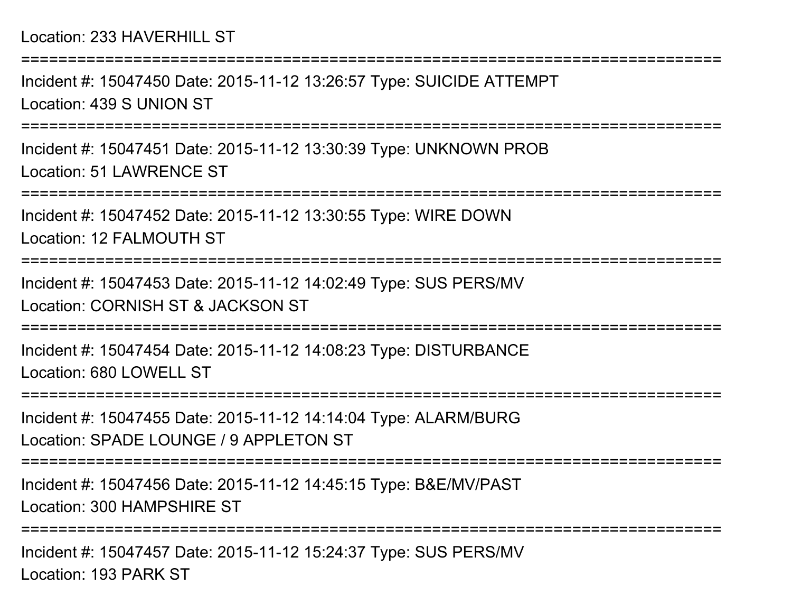# Location: 233 HAVERHILL ST

Incident #: 15047450 Date: 2015-11-12 13:26:57 Type: SUICIDE ATTEMPTLocation: 439 S UNION ST

===========================================================================

===========================================================================

Incident #: 15047451 Date: 2015-11-12 13:30:39 Type: UNKNOWN PROBLocation: 51 LAWRENCE ST

===========================================================================

Incident #: 15047452 Date: 2015-11-12 13:30:55 Type: WIRE DOWNLocation: 12 FALMOUTH ST

===========================================================================

Incident #: 15047453 Date: 2015-11-12 14:02:49 Type: SUS PERS/MVLocation: CORNISH ST & JACKSON ST

===========================================================================

Incident #: 15047454 Date: 2015-11-12 14:08:23 Type: DISTURBANCELocation: 680 LOWELL ST

===========================================================================

Incident #: 15047455 Date: 2015-11-12 14:14:04 Type: ALARM/BURGLocation: SPADE LOUNGE / 9 APPLETON ST

===========================================================================

Incident #: 15047456 Date: 2015-11-12 14:45:15 Type: B&E/MV/PASTLocation: 300 HAMPSHIRE ST

===========================================================================

Incident #: 15047457 Date: 2015-11-12 15:24:37 Type: SUS PERS/MVLocation: 193 PARK ST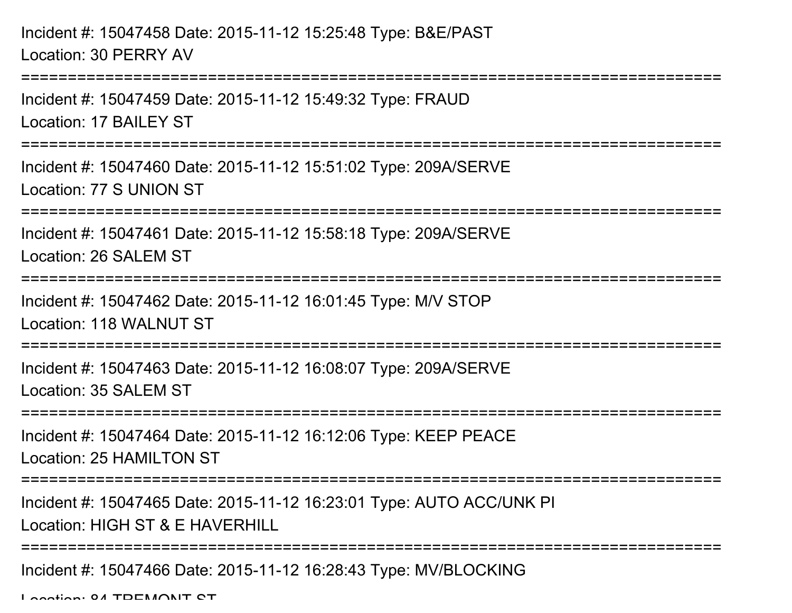| Incident #: 15047458 Date: 2015-11-12 15:25:48 Type: B&E/PAST<br>Location: 30 PERRY AV                                         |
|--------------------------------------------------------------------------------------------------------------------------------|
| Incident #: 15047459 Date: 2015-11-12 15:49:32 Type: FRAUD<br>Location: 17 BAILEY ST<br>====================================== |
| Incident #: 15047460 Date: 2015-11-12 15:51:02 Type: 209A/SERVE<br>Location: 77 S UNION ST                                     |
| Incident #: 15047461 Date: 2015-11-12 15:58:18 Type: 209A/SERVE<br>Location: 26 SALEM ST                                       |
| Incident #: 15047462 Date: 2015-11-12 16:01:45 Type: M/V STOP<br>Location: 118 WALNUT ST                                       |
| Incident #: 15047463 Date: 2015-11-12 16:08:07 Type: 209A/SERVE<br>Location: 35 SALEM ST                                       |
| Incident #: 15047464 Date: 2015-11-12 16:12:06 Type: KEEP PEACE<br>Location: 25 HAMILTON ST                                    |
| Incident #: 15047465 Date: 2015-11-12 16:23:01 Type: AUTO ACC/UNK PI<br>Location: HIGH ST & E HAVERHILL                        |
| Incident #: 15047466 Date: 2015-11-12 16:28:43 Type: MV/BLOCKING                                                               |

Location: 04 TDEMONIT CT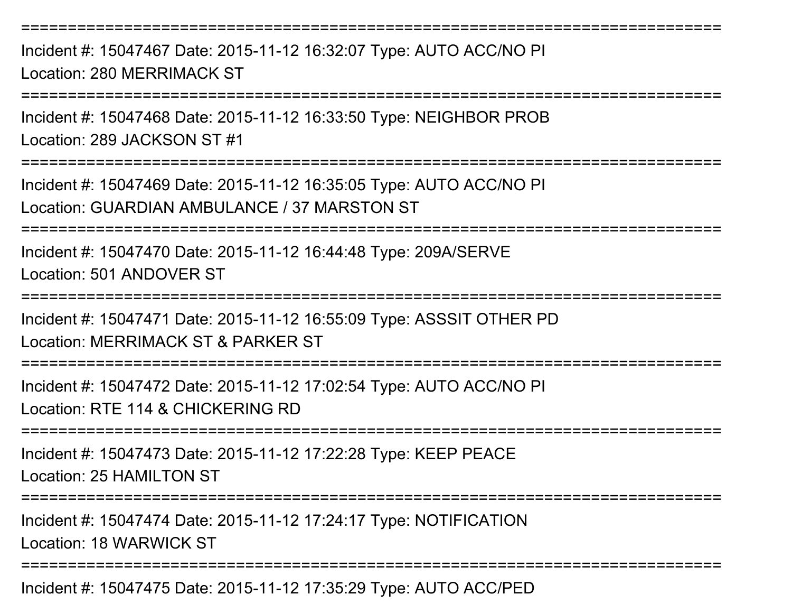Incident #: 15047467 Date: 2015-11-12 16:32:07 Type: AUTO ACC/NO PILocation: 280 MERRIMACK ST

===========================================================================

===========================================================================

Incident #: 15047468 Date: 2015-11-12 16:33:50 Type: NEIGHBOR PROBLocation: 289 JACKSON ST #1

===========================================================================

Incident #: 15047469 Date: 2015-11-12 16:35:05 Type: AUTO ACC/NO PILocation: GUARDIAN AMBULANCE / 37 MARSTON ST

===========================================================================

Incident #: 15047470 Date: 2015-11-12 16:44:48 Type: 209A/SERVELocation: 501 ANDOVER ST

====================

Incident #: 15047471 Date: 2015-11-12 16:55:09 Type: ASSSIT OTHER PDLocation: MERRIMACK ST & PARKER ST

===========================================================================

Incident #: 15047472 Date: 2015-11-12 17:02:54 Type: AUTO ACC/NO PILocation: RTE 114 & CHICKERING RD

===========================================================================

Incident #: 15047473 Date: 2015-11-12 17:22:28 Type: KEEP PEACE

Location: 25 HAMILTON ST

==============================

Incident #: 15047474 Date: 2015-11-12 17:24:17 Type: NOTIFICATIONLocation: 18 WARWICK ST

**==================** 

Incident #: 15047475 Date: 2015-11-12 17:35:29 Type: AUTO ACC/PED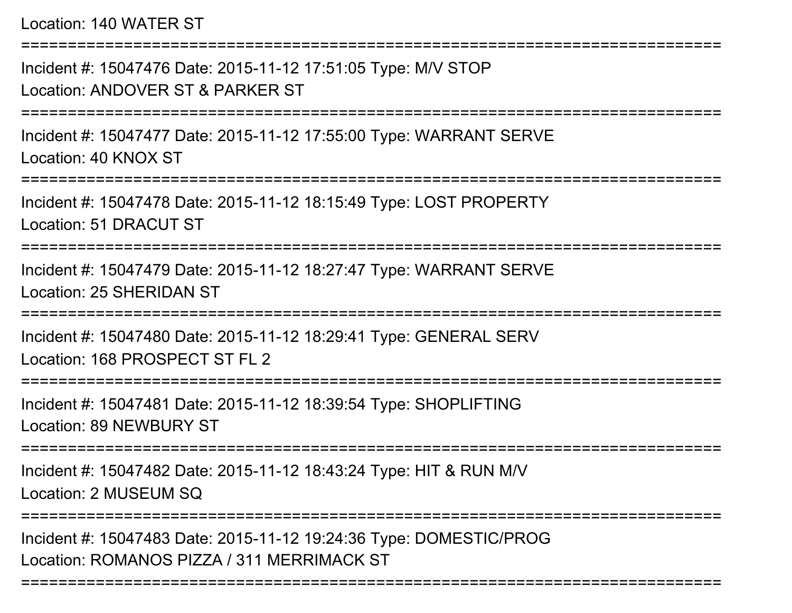Location: 140 WATER ST

Incident #: 15047476 Date: 2015-11-12 17:51:05 Type: M/V STOPLocation: ANDOVER ST & PARKER ST

===========================================================================

===========================================================================

Incident #: 15047477 Date: 2015-11-12 17:55:00 Type: WARRANT SERVELocation: 40 KNOX ST

===========================================================================

Incident #: 15047478 Date: 2015-11-12 18:15:49 Type: LOST PROPERTYLocation: 51 DRACUT ST

===========================================================================

Incident #: 15047479 Date: 2015-11-12 18:27:47 Type: WARRANT SERVELocation: 25 SHERIDAN ST

===========================================================================

Incident #: 15047480 Date: 2015-11-12 18:29:41 Type: GENERAL SERVLocation: 168 PROSPECT ST FL 2

===========================================================================

Incident #: 15047481 Date: 2015-11-12 18:39:54 Type: SHOPLIFTINGLocation: 89 NEWBURY ST

=============================

Incident #: 15047482 Date: 2015-11-12 18:43:24 Type: HIT & RUN M/VLocation: 2 MUSEUM SQ

===========================================================================

===========================================================================

Incident #: 15047483 Date: 2015-11-12 19:24:36 Type: DOMESTIC/PROGLocation: ROMANOS PIZZA / 311 MERRIMACK ST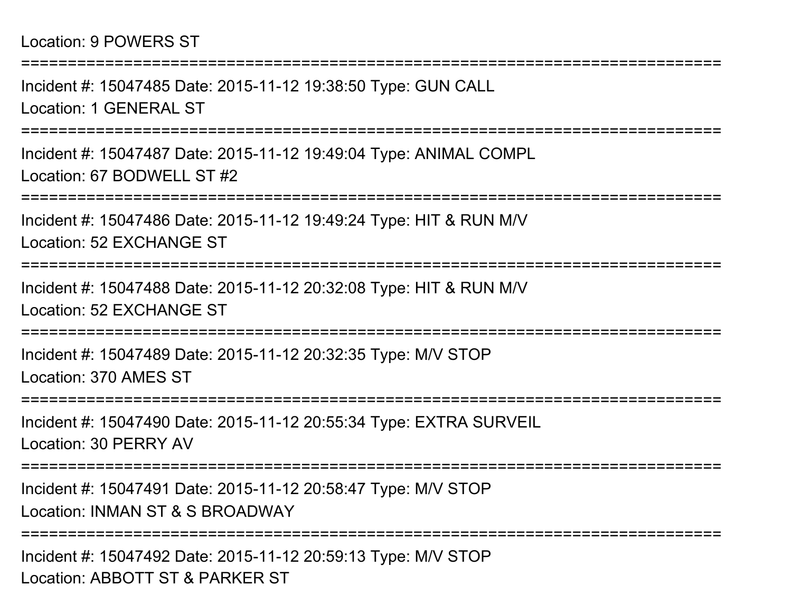#### Location: 9 POWERS ST

===========================================================================Incident #: 15047485 Date: 2015-11-12 19:38:50 Type: GUN CALLLocation: 1 GENERAL ST===========================================================================Incident #: 15047487 Date: 2015-11-12 19:49:04 Type: ANIMAL COMPLLocation: 67 BODWELL ST #2===========================================================================Incident #: 15047486 Date: 2015-11-12 19:49:24 Type: HIT & RUN M/VLocation: 52 EXCHANGE ST**===================** Incident #: 15047488 Date: 2015-11-12 20:32:08 Type: HIT & RUN M/VLocation: 52 EXCHANGE ST===========================================================================Incident #: 15047489 Date: 2015-11-12 20:32:35 Type: M/V STOPLocation: 370 AMES ST===========================================================================Incident #: 15047490 Date: 2015-11-12 20:55:34 Type: EXTRA SURVEILLocation: 30 PERRY AV===========================================================================Incident #: 15047491 Date: 2015-11-12 20:58:47 Type: M/V STOPLocation: INMAN ST & S BROADWAY===========================================================================Incident #: 15047492 Date: 2015-11-12 20:59:13 Type: M/V STOP

Location: ABBOTT ST & PARKER ST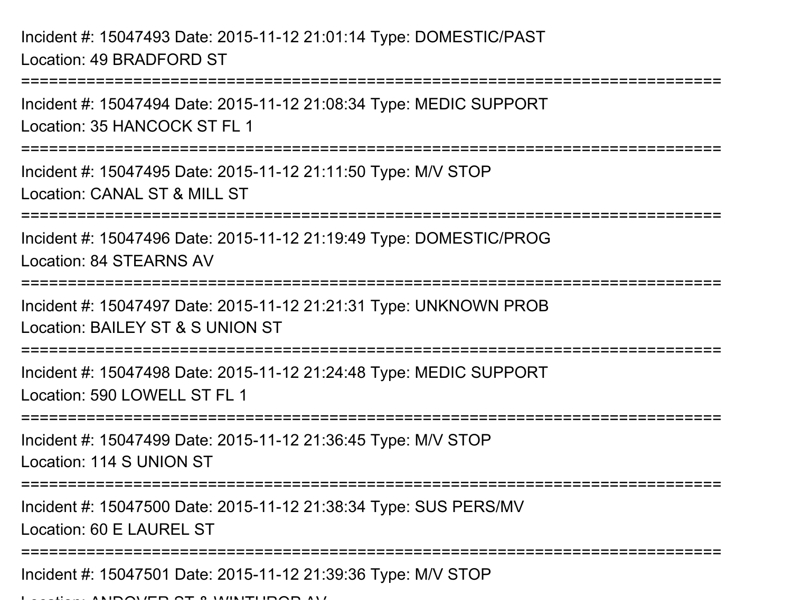Incident #: 15047493 Date: 2015-11-12 21:01:14 Type: DOMESTIC/PASTLocation: 49 BRADFORD ST

```
===========================================================================Incident #: 15047494 Date: 2015-11-12 21:08:34 Type: MEDIC SUPPORTLocation: 35 HANCOCK ST FL 1===========================================================================Incident #: 15047495 Date: 2015-11-12 21:11:50 Type: M/V STOPLocation: CANAL ST & MILL ST===========================================================================Incident #: 15047496 Date: 2015-11-12 21:19:49 Type: DOMESTIC/PROGLocation: 84 STEARNS AV================
Incident #: 15047497 Date: 2015-11-12 21:21:31 Type: UNKNOWN PROBLocation: BAILEY ST & S UNION ST===========================================================================Incident #: 15047498 Date: 2015-11-12 21:24:48 Type: MEDIC SUPPORTLocation: 590 LOWELL ST FL 1
   ===========================================================================Incident #: 15047499 Date: 2015-11-12 21:36:45 Type: M/V STOPLocation: 114 S UNION ST===========================================================================Incident #: 15047500 Date: 2015-11-12 21:38:34 Type: SUS PERS/MVLocation: 60 F LAUREL ST
   ===========================================================================Incident #: 15047501 Date: 2015-11-12 21:39:36 Type: M/V STOP
```
Location: ANDOVER ST & WINTHROP AV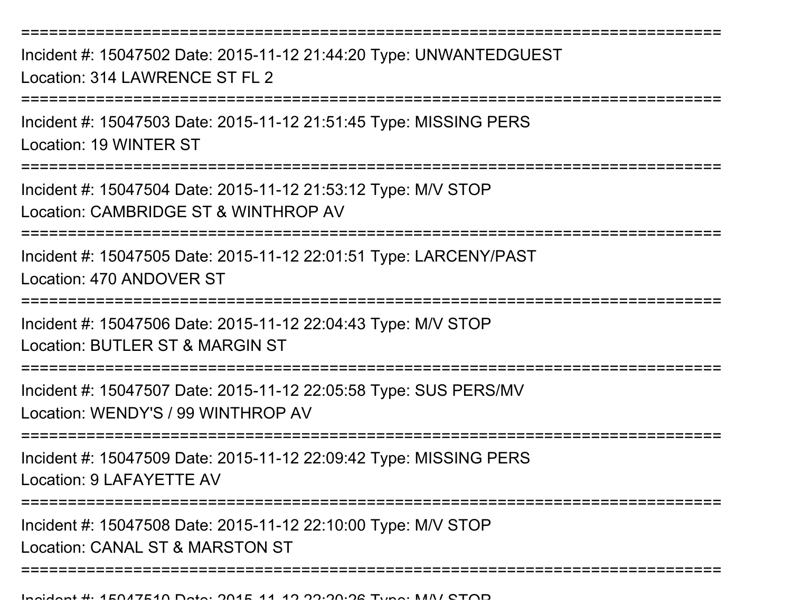===========================================================================

Incident #: 15047502 Date: 2015-11-12 21:44:20 Type: UNWANTEDGUESTLocation: 314 LAWRENCE ST FL 2

===========================================================================

Incident #: 15047503 Date: 2015-11-12 21:51:45 Type: MISSING PERSLocation: 19 WINTER ST

===========================================================================

Incident #: 15047504 Date: 2015-11-12 21:53:12 Type: M/V STOPLocation: CAMBRIDGE ST & WINTHROP AV

===========================================================================

Incident #: 15047505 Date: 2015-11-12 22:01:51 Type: LARCENY/PASTLocation: 470 ANDOVER ST

========================

Incident #: 15047506 Date: 2015-11-12 22:04:43 Type: M/V STOP

Location: BUTLER ST & MARGIN ST

===========================================================================

Incident #: 15047507 Date: 2015-11-12 22:05:58 Type: SUS PERS/MVLocation: WENDY'S / 99 WINTHROP AV

===========================================================================

Incident #: 15047509 Date: 2015-11-12 22:09:42 Type: MISSING PERSLocation: 9 LAFAYETTE AV

===========================================================================

Incident #: 15047508 Date: 2015-11-12 22:10:00 Type: M/V STOP

Location: CANAL ST & MARSTON ST

===========================================================================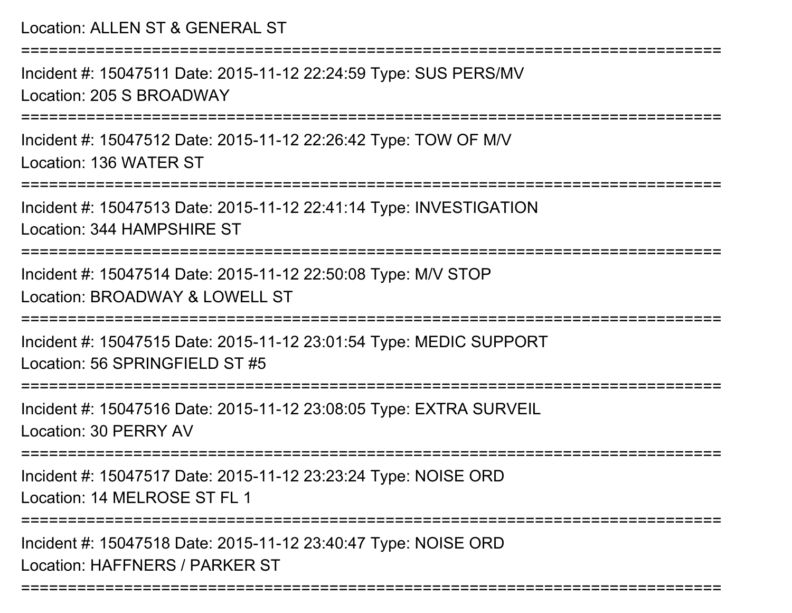## Location: ALLEN ST & GENERAL ST

===========================================================================Incident #: 15047511 Date: 2015-11-12 22:24:59 Type: SUS PERS/MVLocation: 205 S BROADWAY ===========================================================================Incident #: 15047512 Date: 2015-11-12 22:26:42 Type: TOW OF M/VLocation: 136 WATER ST===========================================================================Incident #: 15047513 Date: 2015-11-12 22:41:14 Type: INVESTIGATIONLocation: 344 HAMPSHIRE ST===========================================================================Incident #: 15047514 Date: 2015-11-12 22:50:08 Type: M/V STOPLocation: BROADWAY & LOWELL ST ===========================================================================Incident #: 15047515 Date: 2015-11-12 23:01:54 Type: MEDIC SUPPORTLocation: 56 SPRINGFIFLD ST #5 ================ Incident #: 15047516 Date: 2015-11-12 23:08:05 Type: EXTRA SURVEILLocation: 30 PERRY AV===========================================================================Incident #: 15047517 Date: 2015-11-12 23:23:24 Type: NOISE ORDLocation: 14 MFLROSE ST FL 1 ===========================================================================Incident #: 15047518 Date: 2015-11-12 23:40:47 Type: NOISE ORDLocation: HAFFNERS / PARKER ST

===========================================================================